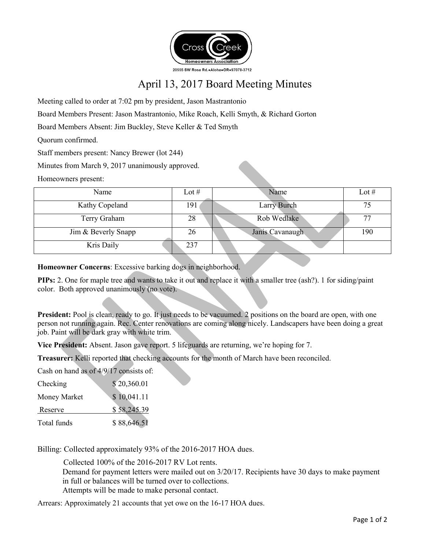

## April 13, 2017 Board Meeting Minutes

Meeting called to order at 7:02 pm by president, Jason Mastrantonio

Board Members Present: Jason Mastrantonio, Mike Roach, Kelli Smyth, & Richard Gorton

Board Members Absent: Jim Buckley, Steve Keller & Ted Smyth

Quorum confirmed.

Staff members present: Nancy Brewer (lot 244)

Minutes from March 9, 2017 unanimously approved.

Homeowners present:

| Name                | Lot $#$ | Name            | Lot $#$ |
|---------------------|---------|-----------------|---------|
| Kathy Copeland      | 191     | Larry Burch     | 75      |
| Terry Graham        | 28      | Rob Wedlake     | 77      |
| Jim & Beverly Snapp | 26      | Janis Cavanaugh | 190     |
| Kris Daily          | 237     |                 |         |

**Homeowner Concerns**: Excessive barking dogs in neighborhood.

**PIPs:** 2. One for maple tree and wants to take it out and replace it with a smaller tree (ash?). 1 for siding/paint color. Both approved unanimously (no vote).

**President:** Pool is clean, ready to go. It just needs to be vacuumed. 2 positions on the board are open, with one person not running again. Rec. Center renovations are coming along nicely. Landscapers have been doing a great job. Paint will be dark gray with white trim.

**Vice President:** Absent. Jason gave report. 5 lifeguards are returning, we're hoping for 7.

**Treasurer:** Kelli reported that checking accounts for the month of March have been reconciled.

Cash on hand as of 4/9/17 consists of:

| Checking     | \$20,360.01 |
|--------------|-------------|
| Money Market | \$10,041.11 |
| Reserve      | \$58,245.39 |
| Total funds  | \$88,646.51 |

Billing: Collected approximately 93% of the 2016-2017 HOA dues.

 Collected 100% of the 2016-2017 RV Lot rents. Demand for payment letters were mailed out on 3/20/17. Recipients have 30 days to make payment in full or balances will be turned over to collections. Attempts will be made to make personal contact.

Arrears: Approximately 21 accounts that yet owe on the 16-17 HOA dues.